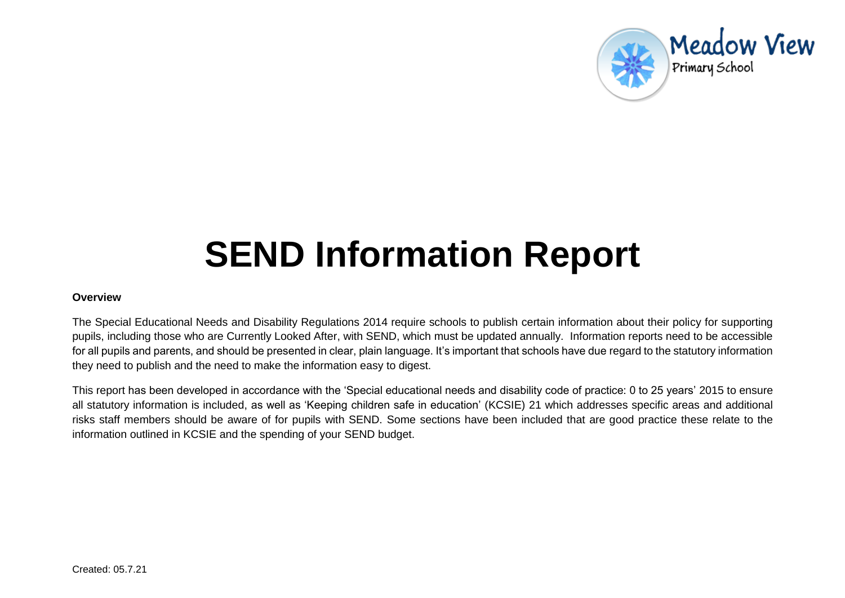

# **SEND Information Report**

#### **Overview**

The Special Educational Needs and Disability Regulations 2014 require schools to publish certain information about their policy for supporting pupils, including those who are Currently Looked After, with SEND, which must be updated annually. Information reports need to be accessible for all pupils and parents, and should be presented in clear, plain language. It's important that schools have due regard to the statutory information they need to publish and the need to make the information easy to digest.

This report has been developed in accordance with the 'Special educational needs and disability code of practice: 0 to 25 years' 2015 to ensure all statutory information is included, as well as 'Keeping children safe in education' (KCSIE) 21 which addresses specific areas and additional risks staff members should be aware of for pupils with SEND. Some sections have been included that are good practice these relate to the information outlined in KCSIE and the spending of your SEND budget.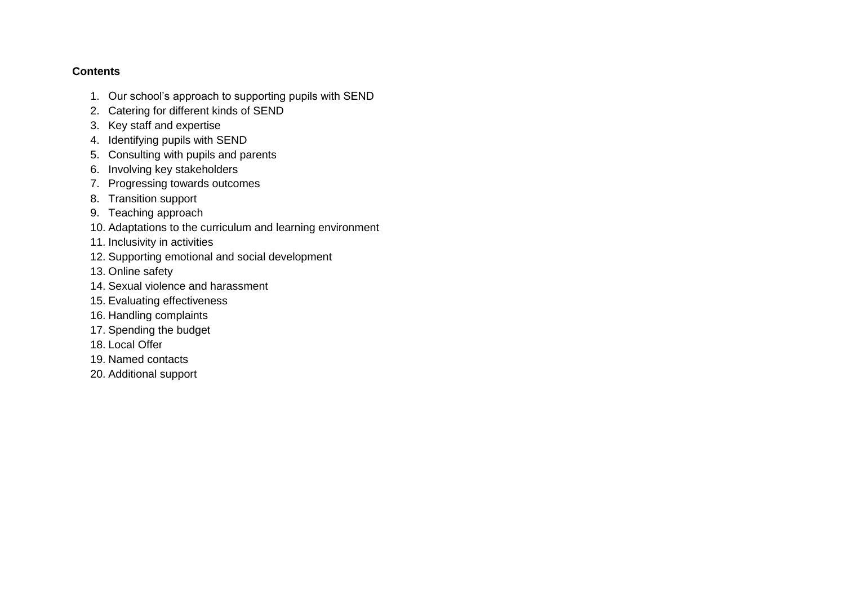#### **Contents**

- 1. [Our school's approach to supporting pupils with SEND](#page-2-0)
- 2. [Catering for different kinds of SEND](#page-3-0)
- 3. [Key staff and expertise](#page-5-0)
- 4. [Identifying pupils with SEND](#page-7-0)
- 5. Consulting with pupils and parents
- 6. [Involving key stakeholders](#page-10-0)
- 7. [Progressing towards outcomes](#page-11-0)
- 8. Transition support
- 9. [Teaching approach](#page-12-0)
- 10. Adaptations to the curriculum and learning environment
- 11. [Inclusivity in activities](#page-13-0)
- 12. Supporting emotional and social development
- 13. [Online safety](#page-14-0)
- 14. [Sexual violence and harassment](#page-14-1)
- 15. [Evaluating effectiveness](#page-15-0)
- 16. [Handling complaints](#page-15-1)
- 17. [Spending the budget](#page-16-0)
- 18. [Local Offer](#page-16-1)
- 19. [Named contacts](#page-17-0)
- 20. [Additional support](#page-17-1)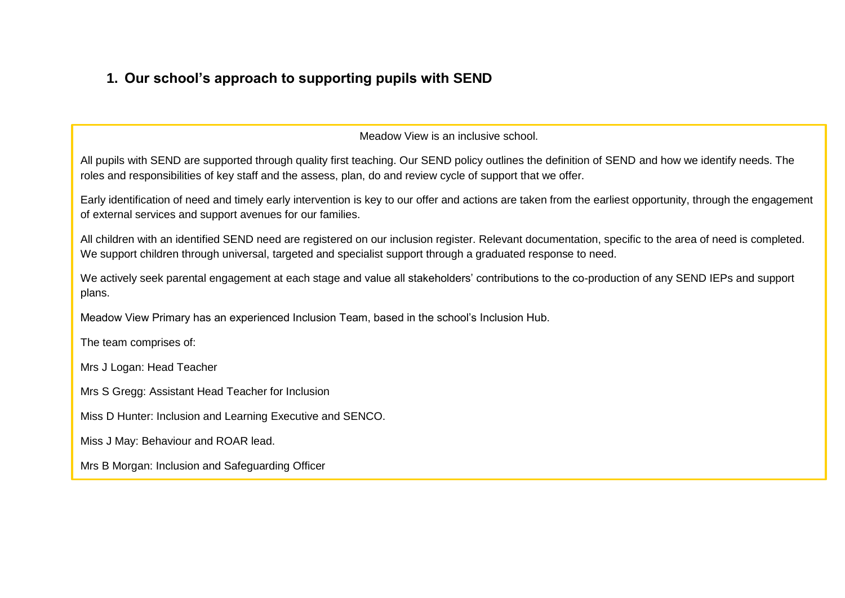# <span id="page-2-0"></span>**1. Our school's approach to supporting pupils with SEND**

Meadow View is an inclusive school.

All pupils with SEND are supported through quality first teaching. Our SEND policy outlines the definition of SEND and how we identify needs. The roles and responsibilities of key staff and the assess, plan, do and review cycle of support that we offer.

Early identification of need and timely early intervention is key to our offer and actions are taken from the earliest opportunity, through the engagement of external services and support avenues for our families.

All children with an identified SEND need are registered on our inclusion register. Relevant documentation, specific to the area of need is completed. We support children through universal, targeted and specialist support through a graduated response to need.

We actively seek parental engagement at each stage and value all stakeholders' contributions to the co-production of any SEND IEPs and support plans.

Meadow View Primary has an experienced Inclusion Team, based in the school's Inclusion Hub.

The team comprises of:

Mrs J Logan: Head Teacher

Mrs S Gregg: Assistant Head Teacher for Inclusion

Miss D Hunter: Inclusion and Learning Executive and SENCO.

Miss J May: Behaviour and ROAR lead.

Mrs B Morgan: Inclusion and Safeguarding Officer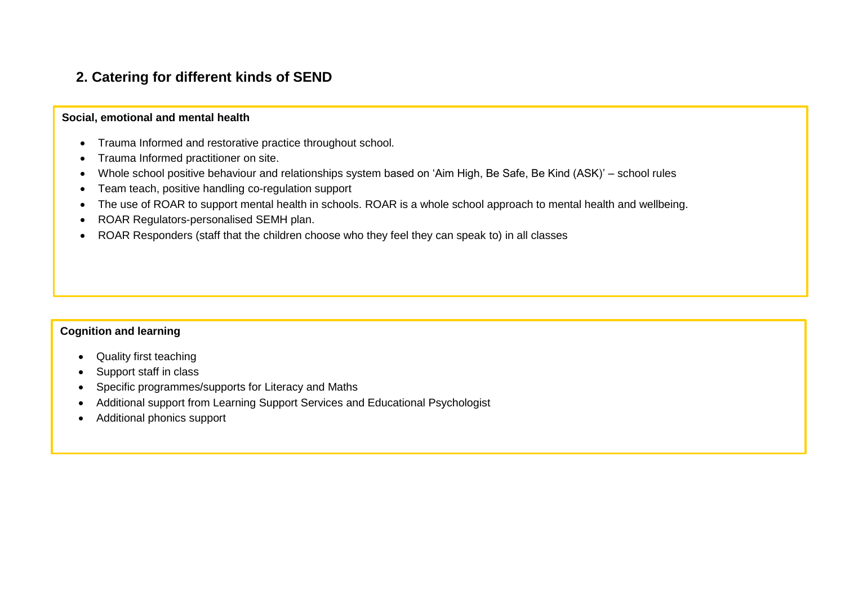## <span id="page-3-0"></span>**2. Catering for different kinds of SEND**

#### **Social, emotional and mental health**

- Trauma Informed and restorative practice throughout school.
- Trauma Informed practitioner on site.
- Whole school positive behaviour and relationships system based on 'Aim High, Be Safe, Be Kind (ASK)' school rules
- Team teach, positive handling co-regulation support
- The use of ROAR to support mental health in schools. ROAR is a whole school approach to mental health and wellbeing.
- ROAR Regulators-personalised SEMH plan.
- ROAR Responders (staff that the children choose who they feel they can speak to) in all classes

#### **Cognition and learning**

- Quality first teaching
- Support staff in class
- Specific programmes/supports for Literacy and Maths
- Additional support from Learning Support Services and Educational Psychologist
- Additional phonics support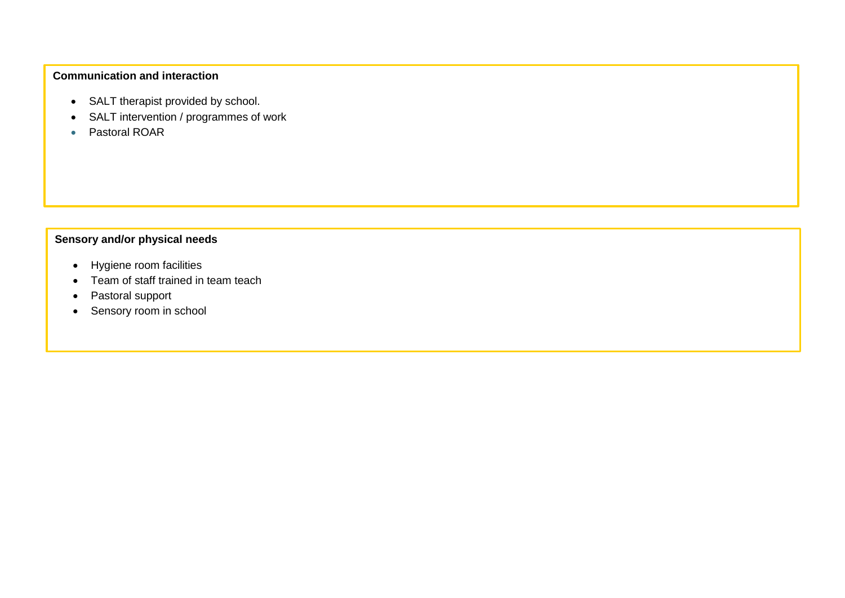## **Communication and interaction**

- SALT therapist provided by school.
- SALT intervention / programmes of work
- Pastoral ROAR

### **Sensory and/or physical needs**

- Hygiene room facilities
- Team of staff trained in team teach
- Pastoral support
- Sensory room in school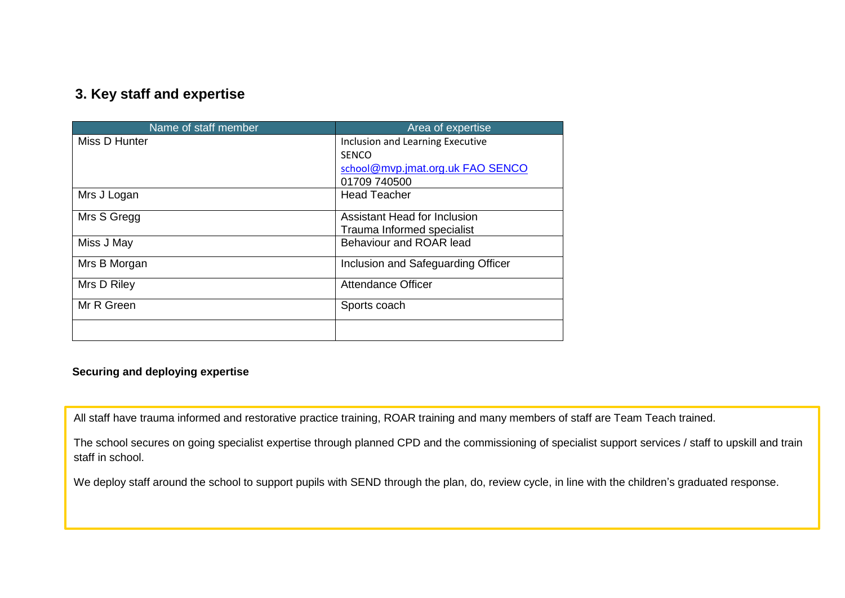## <span id="page-5-0"></span>**3. Key staff and expertise**

| Name of staff member | Area of expertise                   |
|----------------------|-------------------------------------|
| Miss D Hunter        | Inclusion and Learning Executive    |
|                      | <b>SENCO</b>                        |
|                      | school@mvp.jmat.org.uk FAO SENCO    |
|                      | 01709 740500                        |
| Mrs J Logan          | <b>Head Teacher</b>                 |
| Mrs S Gregg          | <b>Assistant Head for Inclusion</b> |
|                      | Trauma Informed specialist          |
| Miss J May           | Behaviour and ROAR lead             |
| Mrs B Morgan         | Inclusion and Safeguarding Officer  |
| Mrs D Riley          | <b>Attendance Officer</b>           |
| Mr R Green           | Sports coach                        |
|                      |                                     |

#### **Securing and deploying expertise**

All staff have trauma informed and restorative practice training, ROAR training and many members of staff are Team Teach trained.

The school secures on going specialist expertise through planned CPD and the commissioning of specialist support services / staff to upskill and train staff in school.

We deploy staff around the school to support pupils with SEND through the plan, do, review cycle, in line with the children's graduated response.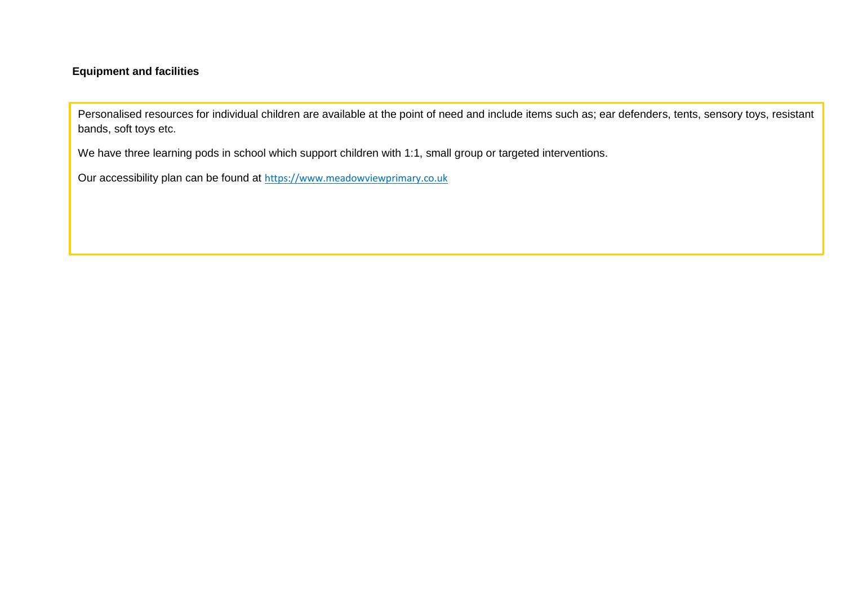#### **Equipment and facilities**

Personalised resources for individual children are available at the point of need and include items such as; ear defenders, tents, sensory toys, resistant bands, soft toys etc.

We have three learning pods in school which support children with 1:1, small group or targeted interventions.

Our accessibility plan can be found at [https://www.meadowviewprimary.co.uk](https://www.meadowviewprimary.co.uk/)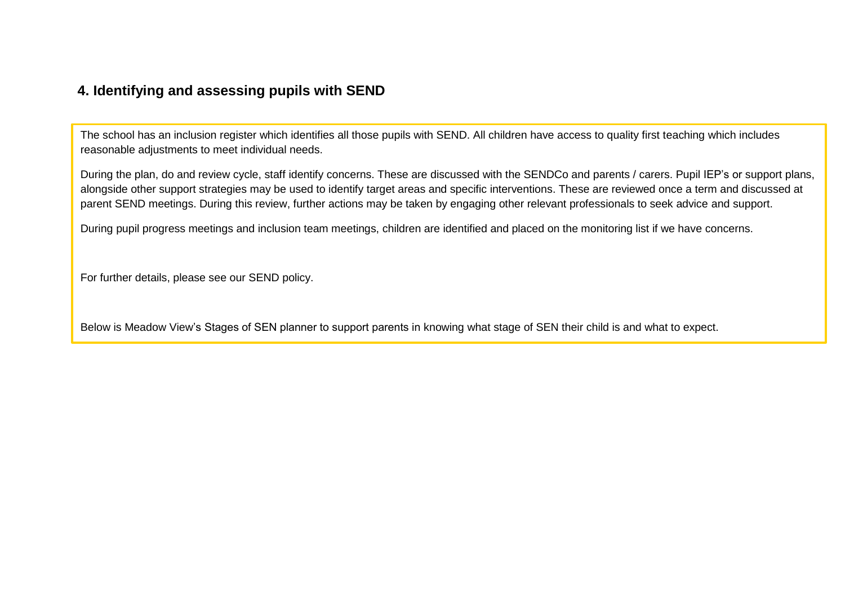## <span id="page-7-0"></span>**4. Identifying and assessing pupils with SEND**

The school has an inclusion register which identifies all those pupils with SEND. All children have access to quality first teaching which includes reasonable adjustments to meet individual needs.

During the plan, do and review cycle, staff identify concerns. These are discussed with the SENDCo and parents / carers. Pupil IEP's or support plans, alongside other support strategies may be used to identify target areas and specific interventions. These are reviewed once a term and discussed at parent SEND meetings. During this review, further actions may be taken by engaging other relevant professionals to seek advice and support.

During pupil progress meetings and inclusion team meetings, children are identified and placed on the monitoring list if we have concerns.

For further details, please see our SEND policy.

Below is Meadow View's Stages of SEN planner to support parents in knowing what stage of SEN their child is and what to expect.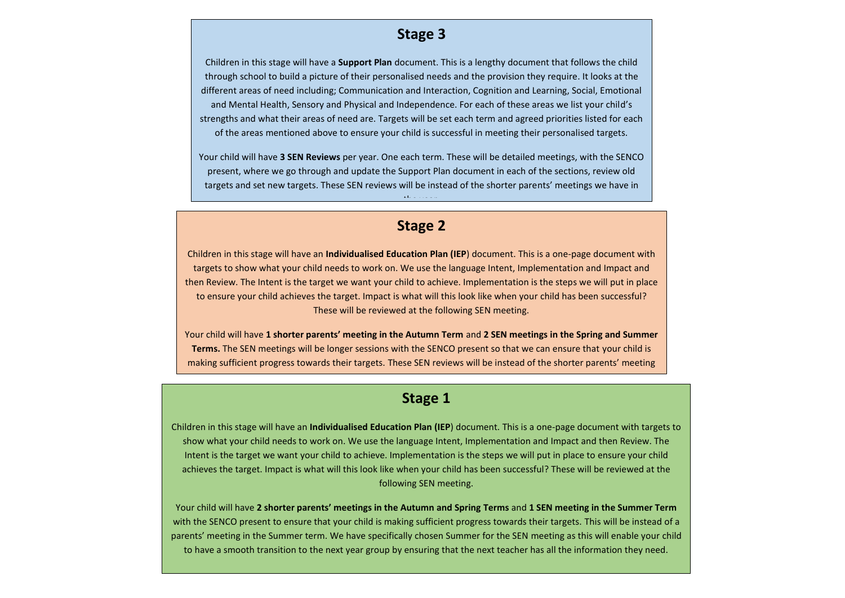## **Stage 3**

Children in this stage will have a **Support Plan** document. This is a lengthy document that follows the child through school to build a picture of their personalised needs and the provision they require. It looks at the different areas of need including; Communication and Interaction, Cognition and Learning, Social, Emotional and Mental Health, Sensory and Physical and Independence. For each of these areas we list your child's strengths and what their areas of need are. Targets will be set each term and agreed priorities listed for each of the areas mentioned above to ensure your child is successful in meeting their personalised targets.

Your child will have **3 SEN Reviews** per year. One each term. These will be detailed meetings, with the SENCO present, where we go through and update the Support Plan document in each of the sections, review old targets and set new targets. These SEN reviews will be instead of the shorter parents' meetings we have in

## **Stage 2**

the year.

Children in this stage will have an **Individualised Education Plan (IEP**) document. This is a one-page document with targets to show what your child needs to work on. We use the language Intent, Implementation and Impact and then Review. The Intent is the target we want your child to achieve. Implementation is the steps we will put in place to ensure your child achieves the target. Impact is what will this look like when your child has been successful? These will be reviewed at the following SEN meeting.

Your child will have **1 shorter parents' meeting in the Autumn Term** and **2 SEN meetings in the Spring and Summer Terms.** The SEN meetings will be longer sessions with the SENCO present so that we can ensure that your child is making sufficient progress towards their targets. These SEN reviews will be instead of the shorter parents' meeting

in the Spring and Summer terms. The Spring and Summer terms.

## **Stage 1**

1. Children in this stage will have an **Individualised Education Plan (IEP**) document. This is a one-page document with targets to show what your child needs to work on. We use the language Intent, Implementation and Impact and then Review. The<br>محمد المصدر المصدر المصدر المصدر المصدر المصدر المصدر المصدر المصدر المصدر المصدر المصدر المصدر المصدر المصد achieves the target we want your crima to achieve. Implementation is the steps we will put in place to ensure your child<br>achieves the target. Impact is what will this look like when your child has been successful? These wi Intent is the target we want your child to achieve. Implementation is the steps we will put in place to ensure your child following SEN meeting.

Your child will have **2 shorter parents' meetings in the Autumn and Spring Terms** and **1 SEN meeting in the Summer Term**  with the SENCO present to ensure that your child is making sufficient progress towards their targets. This will be instead of a parents' meeting in the Summer term. We have specifically chosen Summer for the SEN meeting as this will enable your child to have a smooth transition to the next year group by ensuring that the next teacher has all the information they need.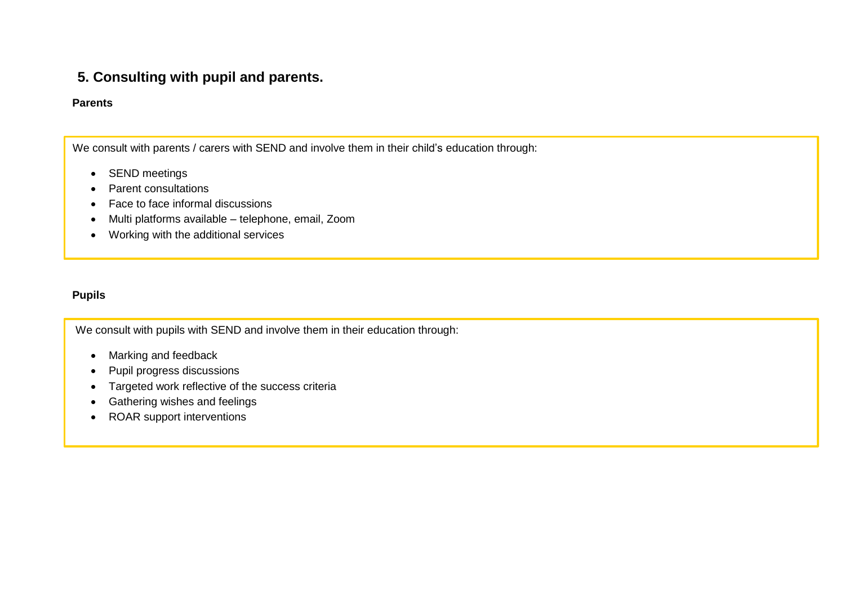## **5. Consulting with pupil and parents.**

#### **Parents**

We consult with parents / carers with SEND and involve them in their child's education through:

- SEND meetings
- Parent consultations
- Face to face informal discussions
- Multi platforms available telephone, email, Zoom
- Working with the additional services

#### **Pupils**

We consult with pupils with SEND and involve them in their education through:

- Marking and feedback
- Pupil progress discussions
- Targeted work reflective of the success criteria
- Gathering wishes and feelings
- ROAR support interventions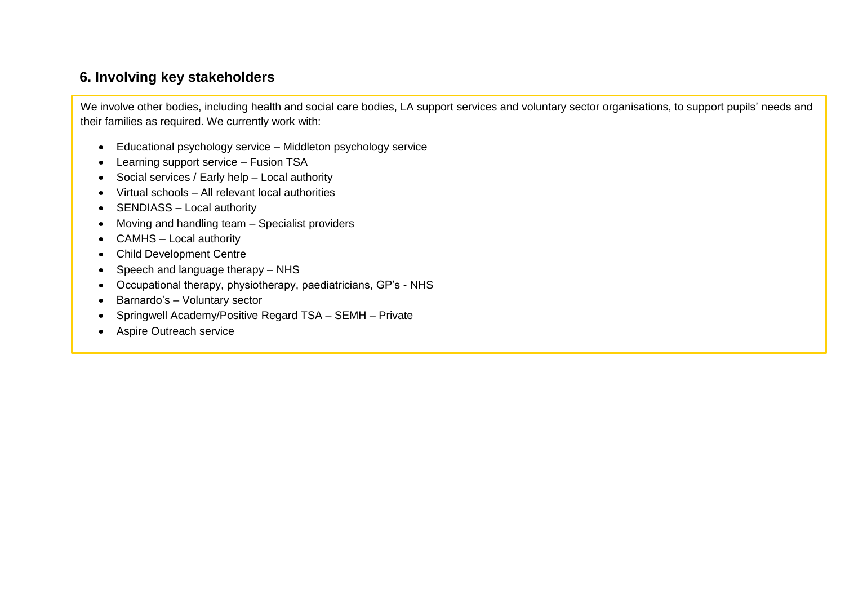## <span id="page-10-0"></span>**6. Involving key stakeholders**

We involve other bodies, including health and social care bodies, LA support services and voluntary sector organisations, to support pupils' needs and their families as required. We currently work with:

- Educational psychology service Middleton psychology service
- Learning support service Fusion TSA
- Social services / Early help Local authority
- Virtual schools All relevant local authorities
- SENDIASS Local authority
- Moving and handling team Specialist providers
- CAMHS Local authority
- Child Development Centre
- Speech and language therapy NHS
- Occupational therapy, physiotherapy, paediatricians, GP's NHS
- Barnardo's Voluntary sector
- Springwell Academy/Positive Regard TSA SEMH Private
- Aspire Outreach service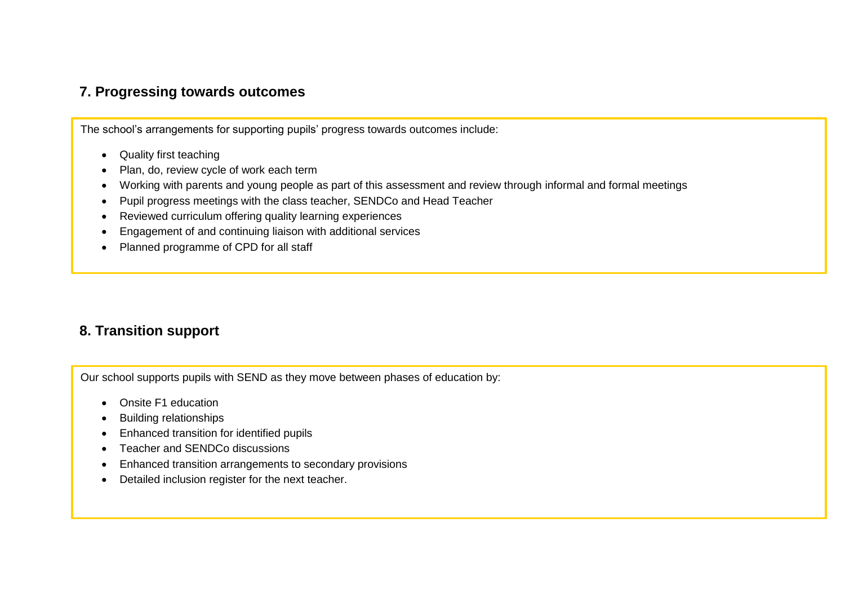## <span id="page-11-0"></span>**7. Progressing towards outcomes**

The school's arrangements for supporting pupils' progress towards outcomes include:

- Quality first teaching
- Plan, do, review cycle of work each term
- Working with parents and young people as part of this assessment and review through informal and formal meetings
- Pupil progress meetings with the class teacher, SENDCo and Head Teacher
- Reviewed curriculum offering quality learning experiences
- Engagement of and continuing liaison with additional services
- Planned programme of CPD for all staff

## **8. Transition support**

Our school supports pupils with SEND as they move between phases of education by:

- Onsite F1 education
- Building relationships
- Enhanced transition for identified pupils
- Teacher and SENDCo discussions
- Enhanced transition arrangements to secondary provisions
- Detailed inclusion register for the next teacher.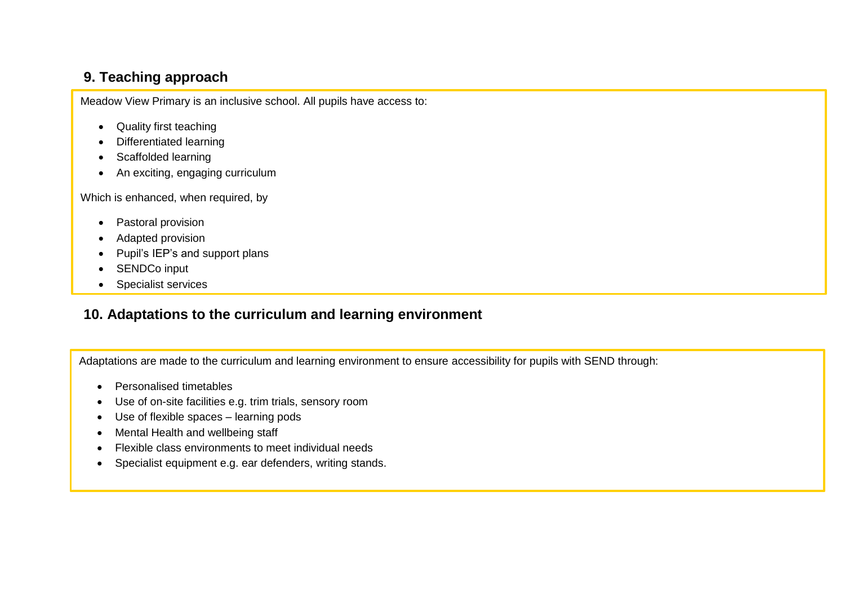# **9. Teaching approach**

Meadow View Primary is an inclusive school. All pupils have access to:

- <span id="page-12-0"></span>• Quality first teaching
- Differentiated learning
- Scaffolded learning
- An exciting, engaging curriculum

Which is enhanced, when required, by

- Pastoral provision
- Adapted provision
- Pupil's IEP's and support plans
- SENDCo input
- Specialist services

# **10. Adaptations to the curriculum and learning environment**

Adaptations are made to the curriculum and learning environment to ensure accessibility for pupils with SEND through:

- Personalised timetables
- Use of on-site facilities e.g. trim trials, sensory room
- Use of flexible spaces learning pods
- Mental Health and wellbeing staff
- Flexible class environments to meet individual needs
- Specialist equipment e.g. ear defenders, writing stands.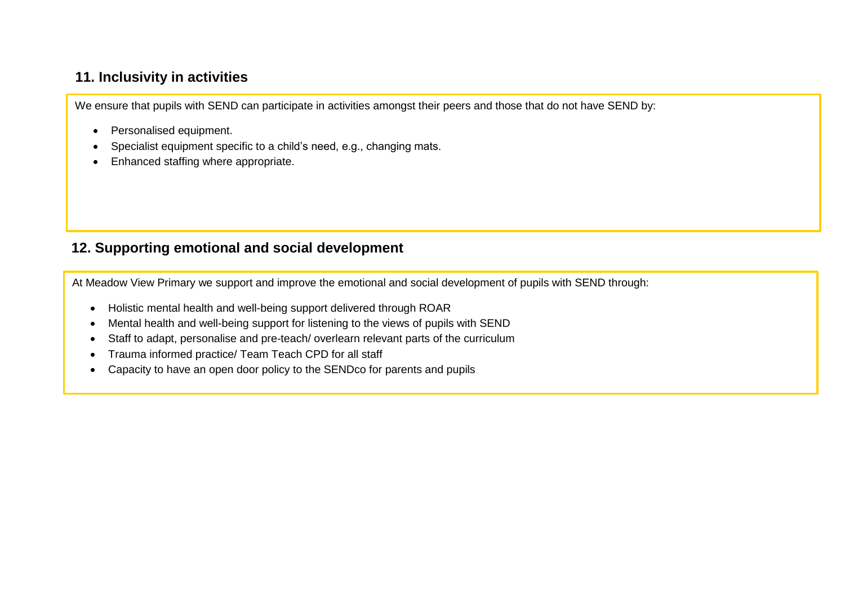## <span id="page-13-0"></span>**11. Inclusivity in activities**

We ensure that pupils with SEND can participate in activities amongst their peers and those that do not have SEND by:

- Personalised equipment.
- Specialist equipment specific to a child's need, e.g., changing mats.
- Enhanced staffing where appropriate.

## **12. Supporting emotional and social development**

At Meadow View Primary we support and improve the emotional and social development of pupils with SEND through:

- Holistic mental health and well-being support delivered through ROAR
- Mental health and well-being support for listening to the views of pupils with SEND
- Staff to adapt, personalise and pre-teach/ overlearn relevant parts of the curriculum
- Trauma informed practice/ Team Teach CPD for all staff
- Capacity to have an open door policy to the SENDco for parents and pupils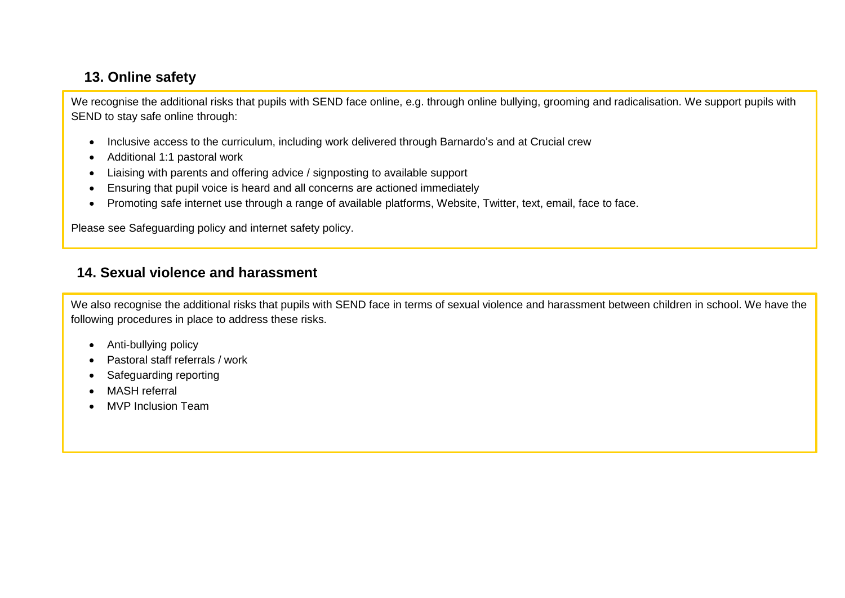# <span id="page-14-0"></span>**13. Online safety**

We recognise the additional risks that pupils with SEND face online, e.g. through online bullying, grooming and radicalisation. We support pupils with SEND to stay safe online through:

- Inclusive access to the curriculum, including work delivered through Barnardo's and at Crucial crew
- Additional 1:1 pastoral work
- Liaising with parents and offering advice / signposting to available support
- Ensuring that pupil voice is heard and all concerns are actioned immediately
- Promoting safe internet use through a range of available platforms, Website, Twitter, text, email, face to face.

Please see Safeguarding policy and internet safety policy.

## <span id="page-14-1"></span>**14. Sexual violence and harassment**

We also recognise the additional risks that pupils with SEND face in terms of sexual violence and harassment between children in school. We have the following procedures in place to address these risks.

- Anti-bullying policy
- Pastoral staff referrals / work
- Safeguarding reporting
- MASH referral
- MVP Inclusion Team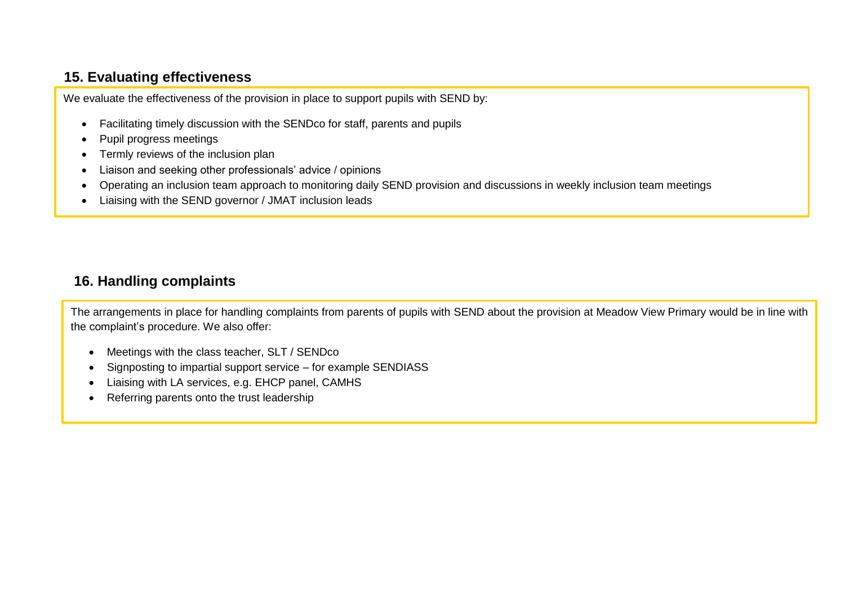# <span id="page-15-0"></span>**15. Evaluating effectiveness**

We evaluate the effectiveness of the provision in place to support pupils with SEND by:

- Facilitating timely discussion with the SENDco for staff, parents and pupils
- Pupil progress meetings

÷,

- Termly reviews of the inclusion plan
- Liaison and seeking other professionals' advice / opinions
- Operating an inclusion team approach to monitoring daily SEND provision and discussions in weekly inclusion team meetings
- Liaising with the SEND governor / JMAT inclusion leads

# <span id="page-15-1"></span>**16. Handling complaints**

The arrangements in place for handling complaints from parents of pupils with SEND about the provision at Meadow View Primary would be in line with the complaint's procedure. We also offer:

- Meetings with the class teacher, SLT / SENDco
- Signposting to impartial support service for example SENDIASS
- Liaising with LA services, e.g. EHCP panel, CAMHS
- Referring parents onto the trust leadership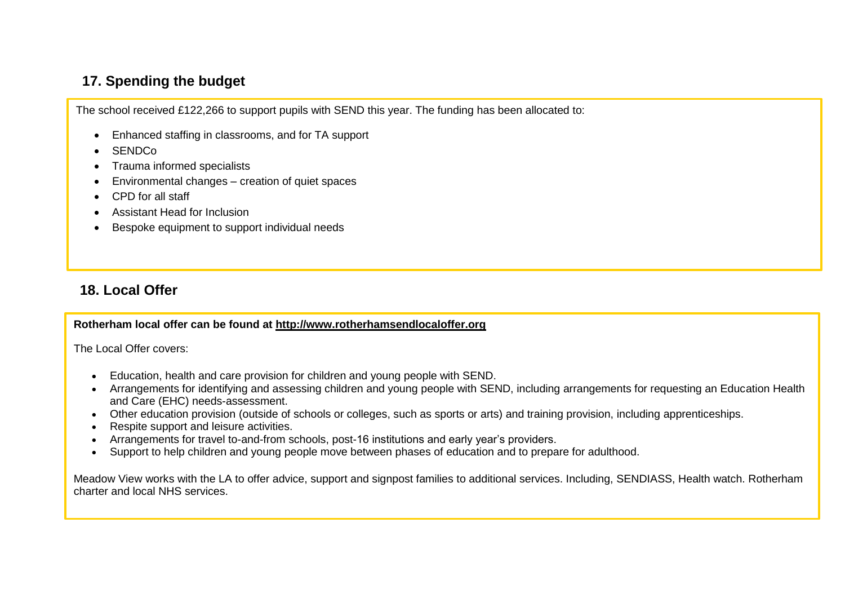## <span id="page-16-0"></span>**17. Spending the budget**

The school received £122,266 to support pupils with SEND this year. The funding has been allocated to:

- Enhanced staffing in classrooms, and for TA support
- **SENDCo**
- Trauma informed specialists
- Environmental changes creation of quiet spaces
- CPD for all staff
- Assistant Head for Inclusion
- Bespoke equipment to support individual needs

# <span id="page-16-1"></span>**18. Local Offer**

**Rotherham local offer can be found at [http://www.rotherhamsendlocaloffer.org](http://www.rotherhamsendlocaloffer.org/)**

The Local Offer covers:

- Education, health and care provision for children and young people with SEND.
- Arrangements for identifying and assessing children and young people with SEND, including arrangements for requesting an Education Health and Care (EHC) needs-assessment.
- Other education provision (outside of schools or colleges, such as sports or arts) and training provision, including apprenticeships.
- Respite support and leisure activities.
- Arrangements for travel to-and-from schools, post-16 institutions and early year's providers.
- Support to help children and young people move between phases of education and to prepare for adulthood.

Meadow View works with the LA to offer advice, support and signpost families to additional services. Including, SENDIASS, Health watch. Rotherham charter and local NHS services.